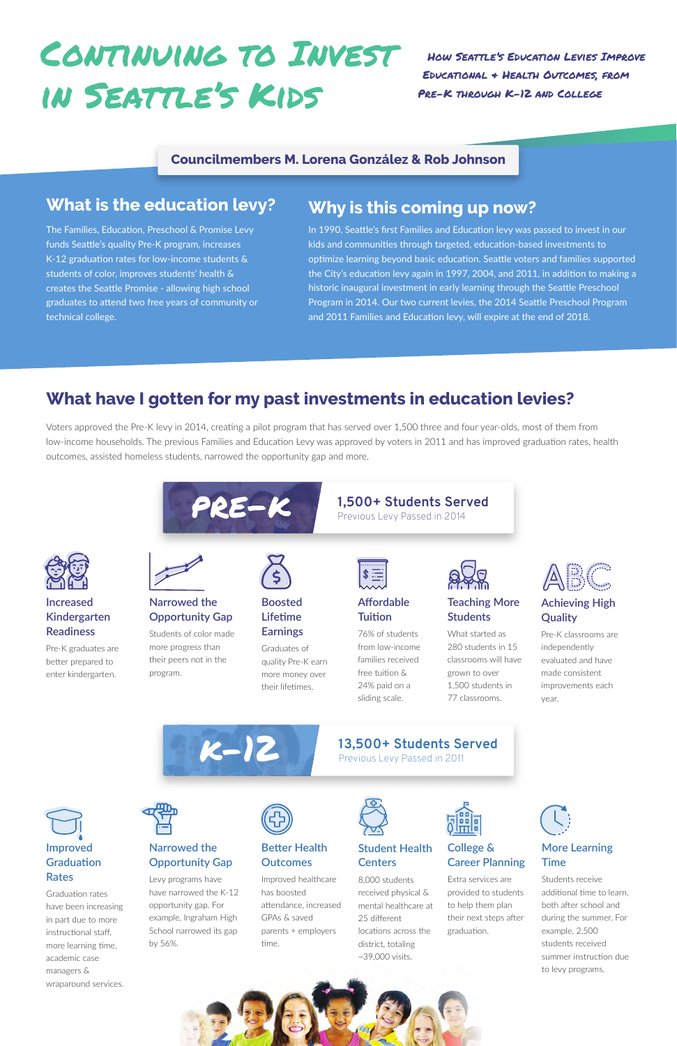# CONTINUING TO INVEST in Seattle's Kids

How Seattle's Education Levies Improve Educational & Health Outcomes, from Pre-K through K-12 and College

### **Councilmembers M. Lorena González & Rob Johnson**

### **What is the education levy?**

### **What have I gotten for my past investments in education levies?**

### **Why is this coming up now?**

The Families, Education, Preschool & Promise Levy funds Seattle's quality Pre-K program, increases K-12 graduation rates for low-income students & students of color, improves students' health & creates the Seattle Promise - allowing high school graduates to attend two free years of community or technical college.

In 1990, Seattle's first Families and Education levy was passed to invest in our kids and communities through targeted, education-based investments to optimize learning beyond basic education. Seattle voters and families supported the City's education levy again in 1997, 2004, and 2011, in addition to making a historic inaugural investment in early learning through the Seattle Preschool Program in 2014. Our two current levies, the 2014 Seattle Preschool Program and 2011 Families and Education levy, will expire at the end of 2018.

Voters approved the Pre-K levy in 2014, creating a pilot program that has served over 1,500 three and four year-olds, most of them from low-income households. The previous Families and Education Levy was approved by voters in 2011 and has improved graduation rates, health outcomes, assisted homeless students, narrowed the opportunity gap and more.





**Increased** 



Graduation rates have been increasing in part due to more instructional staff, more learning time, academic case managers & wraparound services.





Extra services are provided to students to help them plan their next steps after graduation.

**Better Health Outcomes** 

Improved healthcare has boosted attendance, increased GPAs & saved parents + employers time.



**Narrowed the Opportunity Gap** 

Levy programs have have narrowed the K-12 opportunity gap. For example, Ingraham High School narrowed its gap by 56%.



### **More Learning Time**

Students receive additional time to learn, both after school and during the summer. For example, 2,500 students received summer instruction due to levy programs.



#### **Student Health Centers**

8,000 students received physical & mental healthcare at 25 different locations across the district, totaling ~39,000 visits.